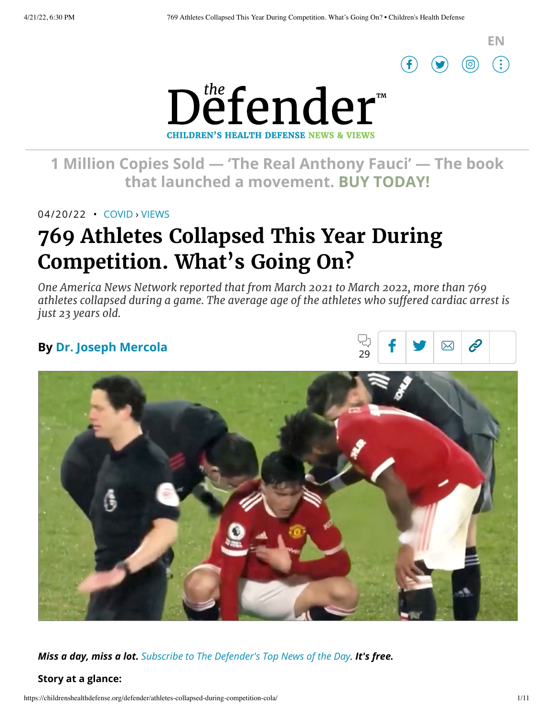



# **1 [Million Copies](https://www.amazon.com/Real-Anthony-Fauci-Democracy-Childrens/dp/1510766804) Sold — 'The Real Anthony Fauci' — The book that launched a movement. BUY TODAY!**

04/20/22 • [COVID](https://childrenshealthdefense.org/defender_category/covid) › [VIEWS](https://childrenshealthdefense.org/defender-views)

# **769 Athletes Collapsed This Year During Competition. What's Going On?**

*One America News Network reported that from March 2021 to March 2022, more than 769 athletes collapsed during a game. The average age of the athletes who suffered cardiac arrest is just 23 years old.*

## **By Dr. Joseph [Mercola](https://childrenshealthdefense.org/authors/dr-joseph-mercola/)**





*Miss a day, miss a lot. Subscribe to [The Defender's](https://childrenshealthdefense.org/about-us/sign-up/?utm_source=top_of_article&utm_medium=the_defender&utm_campaign=sign_ups) Top News of the Day. It's free.*

### **Story at a glance:**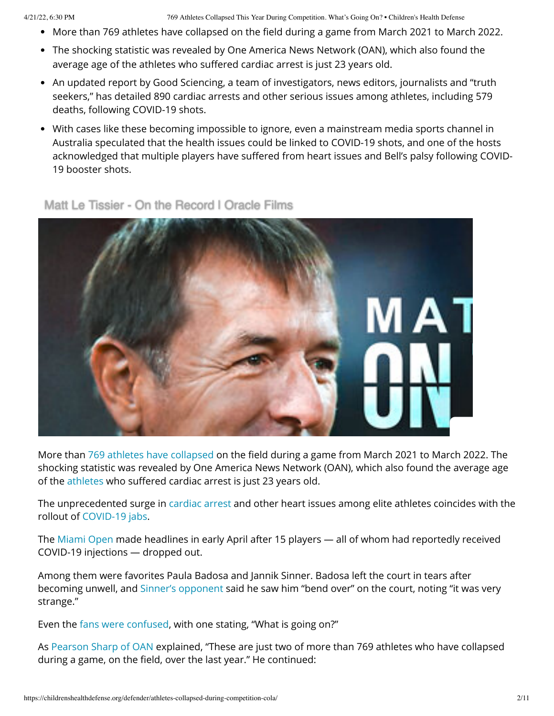4/21/22, 6:30 PM 769 Athletes Collapsed This Year During Competition. What's Going On? • Children's Health Defense

- More than 769 athletes have collapsed on the field during a game from March 2021 to March 2022.
- The shocking statistic was revealed by One America News Network (OAN), which also found the average age of the athletes who suffered cardiac arrest is just 23 years old.
- An updated report by Good Sciencing, a team of investigators, news editors, journalists and "truth seekers," has detailed 890 cardiac arrests and other serious issues among athletes, including 579 deaths, following COVID-19 shots.
- With cases like these becoming impossible to ignore, even a mainstream media sports channel in Australia speculated that the health issues could be linked to COVID-19 shots, and one of the hosts acknowledged that multiple players have suffered from heart issues and Bell's palsy following COVID-19 booster shots.



### [Matt Le Tissier - On the Record | Oracle Films](https://rumble.com/vtsp9u-matt-le-tissier-on-the-record-oracle-films.html)

More than 769 athletes have [collapsed](https://www.thegatewaypundit.com/2022/04/update-jaw-dropping-769-athletes-collapsed-competing-past-year-avg-age-players-suffering-cardiac-arrest-just-23-video/) on the field during a game from March 2021 to March 2022. The shocking statistic was revealed by One America News Network (OAN), which also found the average age of the [athletes](https://childrenshealthdefense.org/defender/chd-tv-rfk-jr-defender-kyle-dake-athletes-medical-freedom/) who suffered cardiac arrest is just 23 years old.

The unprecedented surge in [cardiac arrest](https://childrenshealthdefense.org/defender/cardiac-disorders-injuries-reported-covid-vaccines-vaers-data/) and other heart issues among elite athletes coincides with the rollout of [COVID-19](https://childrenshealthdefense.org/defender/1-in-10-surveyed-doctors-covid-shots-arent-safe/) jabs.

The [Miami](https://needtoknow.news/2022/04/miami-open-carnage-15-fully-vaxxed-tennis-players-unable-to-finish-contests/) Open made headlines in early April after 15 players — all of whom had reportedly received COVID-19 injections — dropped out.

Among them were favorites Paula Badosa and Jannik Sinner. Badosa left the court in tears after becoming unwell, and Sinner's [opponent](https://principia-scientific.com/tennis-world-shocked-after-fifteen-players-drop-out-of-miami-open/) said he saw him "bend over" on the court, noting "it was very strange."

Even the fans were [confused](https://principia-scientific.com/tennis-world-shocked-after-fifteen-players-drop-out-of-miami-open/), with one stating, "What is going on?"

As Pearson [Sharp of](https://www.oann.com/hundreds-of-professional-athletes-collapsing-on-field-dying-from-mysterious-heart-complications/) OAN explained, "These are just two of more than 769 athletes who have collapsed during a game, on the field, over the last year." He continued: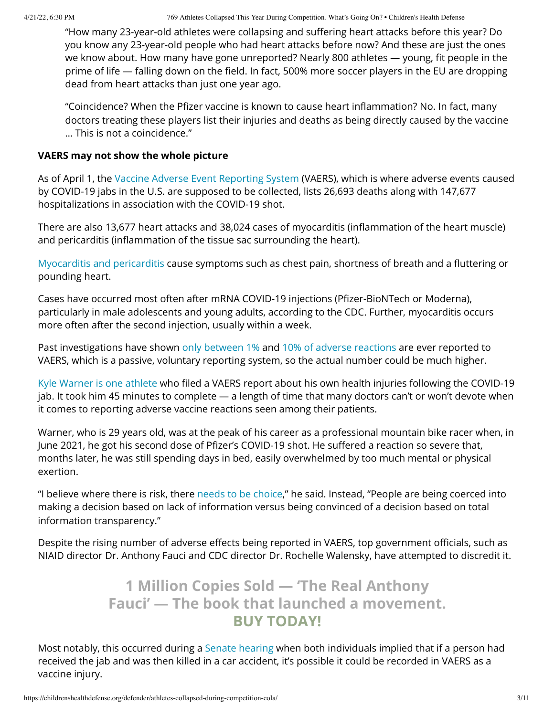"How many 23-year-old athletes were collapsing and suffering heart attacks before this year? Do you know any 23-year-old people who had heart attacks before now? And these are just the ones we know about. How many have gone unreported? Nearly 800 athletes — young, fit people in the prime of life — falling down on the field. In fact, 500% more soccer players in the EU are dropping dead from heart attacks than just one year ago.

"Coincidence? When the Pfizer vaccine is known to cause heart inflammation? No. In fact, many doctors treating these players list their injuries and deaths as being directly caused by the vaccine … This is not a coincidence."

#### **VAERS may not show the whole picture**

As of April 1, the Vaccine Adverse Event [Reporting](https://openvaers.com/covid-data) System (VAERS), which is where adverse events caused by COVID-19 jabs in the U.S. are supposed to be collected, lists 26,693 deaths along with 147,677 hospitalizations in association with the COVID-19 shot.

There are also 13,677 heart attacks and 38,024 cases of myocarditis (inflammation of the heart muscle) and pericarditis (inflammation of the tissue sac surrounding the heart).

Myocarditis [and pericarditis](https://www.cdc.gov/coronavirus/2019-ncov/vaccines/safety/myocarditis.html) cause symptoms such as chest pain, shortness of breath and a fluttering or pounding heart.

Cases have occurred most often after mRNA COVID-19 injections (Pfizer-BioNTech or Moderna), particularly in male adolescents and young adults, according to the CDC. Further, myocarditis occurs more often after the second injection, usually within a week.

Past investigations have shown only [between](https://thevaccinereaction.org/2020/01/only-one-percent-of-vaccine-reactions-reported-to-vaers/) 1% and 10% of adverse [reactions](https://www.bmj.com/rapid-response/2011/10/30/adverse-reactions-varicella-vaccination-are-grossly-under-reported) are ever reported to VAERS, which is a passive, voluntary reporting system, so the actual number could be much higher.

Kyle [Warner](https://www.youtube.com/watch?v=H7inaTiDKaU) is one athlete who filed a VAERS report about his own health injuries following the COVID-19 jab. It took him 45 minutes to complete — a length of time that many doctors can't or won't devote when it comes to reporting adverse vaccine reactions seen among their patients.

Warner, who is 29 years old, was at the peak of his career as a professional mountain bike racer when, in June 2021, he got his second dose of Pfizer's COVID-19 shot. He suffered a reaction so severe that, months later, he was still spending days in bed, easily overwhelmed by too much mental or physical exertion.

"I believe where there is risk, there needs to be [choice,](https://www.youtube.com/watch?v=H7inaTiDKaU)" he said. Instead, "People are being coerced into making a decision based on lack of information versus being convinced of a decision based on total information transparency."

Despite the rising number of adverse effects being reported in VAERS, top government officials, such as NIAID director Dr. Anthony Fauci and CDC director Dr. Rochelle Walensky, have attempted to discredit it.

# **1 Million Copies Sold — 'The [Real Anthony](https://www.amazon.com/Real-Anthony-Fauci-Democracy-Childrens/dp/1510766804) Fauci' — The book that launched a movement. BUY TODAY!**

Most notably, this occurred during a Senate [hearing](https://www.youtube.com/watch?v=P7NwGbfP__Q&t=1s) when both individuals implied that if a person had received the jab and was then killed in a car accident, it's possible it could be recorded in VAERS as a vaccine injury.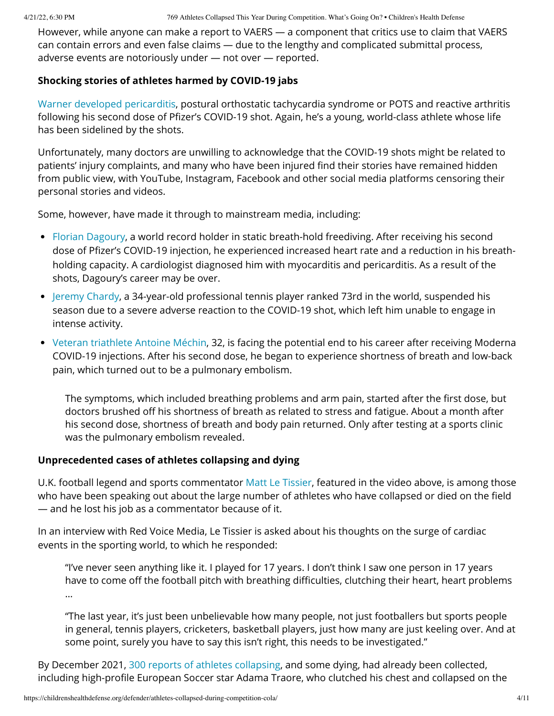However, while anyone can make a report to VAERS — a component that critics use to claim that VAERS can contain errors and even false claims — due to the lengthy and complicated submittal process, adverse events are notoriously under — not over — reported.

### **Shocking stories of athletes harmed by COVID-19 jabs**

Warner [developed pericarditis,](https://www.youtube.com/watch?v=H7inaTiDKaU) postural orthostatic tachycardia syndrome or POTS and reactive arthritis following his second dose of Pfizer's COVID-19 shot. Again, he's a young, world-class athlete whose life has been sidelined by the shots.

Unfortunately, many doctors are unwilling to acknowledge that the COVID-19 shots might be related to patients' injury complaints, and many who have been injured find their stories have remained hidden from public view, with YouTube, Instagram, Facebook and other social media platforms censoring their personal stories and videos.

Some, however, have made it through to mainstream media, including:

- Florian [Dagoury](https://newsbeezer.com/franceeng/florian-dagoury-world-record-holder-for-apnea-diagnosed-myocarditis-and-pericarditis-after-his-pfizer-vaccination/), a world record holder in static breath-hold freediving. After receiving his second dose of Pfizer's COVID-19 injection, he experienced increased heart rate and a reduction in his breathholding capacity. A cardiologist diagnosed him with myocarditis and pericarditis. As a result of the shots, Dagoury's career may be over.
- Jeremy [Chardy,](https://www.news24.com/sport/tennis/atptour/tennis-veteran-chardy-suspends-season-after-reaction-to-covid-jab-20210924) a 34-year-old professional tennis player ranked 73rd in the world, suspended his season due to a severe adverse reaction to the COVID-19 shot, which left him unable to engage in intense activity.
- Veteran [triathlete](https://bannednews.co/antoine-mechin-32-year-old-triathlete-suffers-severe-adverse-reaction-to-the-moderna-covid-19-vaccine-possible-end-of-caree/) Antoine Méchin, 32, is facing the potential end to his career after receiving Moderna COVID-19 injections. After his second dose, he began to experience shortness of breath and low-back pain, which turned out to be a pulmonary embolism.

The symptoms, which included breathing problems and arm pain, started after the first dose, but doctors brushed off his shortness of breath as related to stress and fatigue. About a month after his second dose, shortness of breath and body pain returned. Only after testing at a sports clinic was the pulmonary embolism revealed.

### **Unprecedented cases of athletes collapsing and dying**

U.K. football legend and sports commentator Matt Le [Tissier,](https://rumble.com/vtsp9u-matt-le-tissier-on-the-record-oracle-films.html) featured in the video above, is among those who have been speaking out about the large number of athletes who have collapsed or died on the field — and he lost his job as a commentator because of it.

In an interview with Red Voice Media, Le Tissier is asked about his thoughts on the surge of cardiac events in the sporting world, to which he responded:

"I've never seen anything like it. I played for 17 years. I don't think I saw one person in 17 years have to come off the football pitch with breathing difficulties, clutching their heart, heart problems …

"The last year, it's just been unbelievable how many people, not just footballers but sports people in general, tennis players, cricketers, basketball players, just how many are just keeling over. And at some point, surely you have to say this isn't right, this needs to be investigated."

By December 2021, 300 reports of athletes [collapsing,](https://www.thegatewaypundit.com/2021/12/report-shows-nearly-300-athletes-worldwide-collapsed-suffered-cardiac-arrests-taking-covid-vaccine-year-died/) and some dying, had already been collected, including high-profile European Soccer star Adama Traore, who clutched his chest and collapsed on the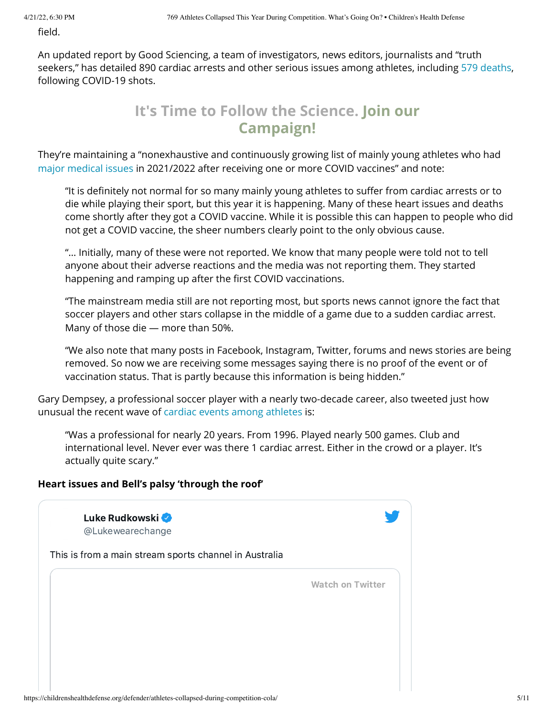field.

An updated report by Good Sciencing, a team of investigators, news editors, journalists and "truth seekers," has detailed 890 cardiac arrests and other serious issues among athletes, including 579 [deaths](https://goodsciencing.com/covid/athletes-suffer-cardiac-arrest-die-after-covid-shot/), following COVID-19 shots.

# **It's Time to Follow the Science. Join our [Campaign!](https://childrenshealthdefense.org/child-health-topics/health-freedom/its-time-to-follow-the-science)**

They're maintaining a "nonexhaustive and continuously growing list of mainly young athletes who had major [medical](https://goodsciencing.com/covid/athletes-suffer-cardiac-arrest-die-after-covid-shot/) issues in 2021/2022 after receiving one or more COVID vaccines" and note:

"It is definitely not normal for so many mainly young athletes to suffer from cardiac arrests or to die while playing their sport, but this year it is happening. Many of these heart issues and deaths come shortly after they got a COVID vaccine. While it is possible this can happen to people who did not get a COVID vaccine, the sheer numbers clearly point to the only obvious cause.

"… Initially, many of these were not reported. We know that many people were told not to tell anyone about their adverse reactions and the media was not reporting them. They started happening and ramping up after the first COVID vaccinations.

"The mainstream media still are not reporting most, but sports news cannot ignore the fact that soccer players and other stars collapse in the middle of a game due to a sudden cardiac arrest. Many of those die — more than 50%.

"We also note that many posts in Facebook, Instagram, Twitter, forums and news stories are being removed. So now we are receiving some messages saying there is no proof of the event or of vaccination status. That is partly because this information is being hidden."

Gary Dempsey, a professional soccer player with a nearly two-decade career, also tweeted just how unusual the recent wave of [cardiac events](https://goodsciencing.com/covid/athletes-suffer-cardiac-arrest-die-after-covid-shot/) among athletes is:

"Was a professional for nearly 20 years. From 1996. Played nearly 500 games. Club and international level. Never ever was there 1 cardiac arrest. Either in the crowd or a player. It's actually quite scary."

### **Heart issues and Bell's palsy 'through the roof'**

| Luke Rudkowski<br>@Lukewearechange                     |                         |
|--------------------------------------------------------|-------------------------|
| This is from a main stream sports channel in Australia |                         |
|                                                        | <b>Watch on Twitter</b> |
|                                                        |                         |
|                                                        |                         |
|                                                        |                         |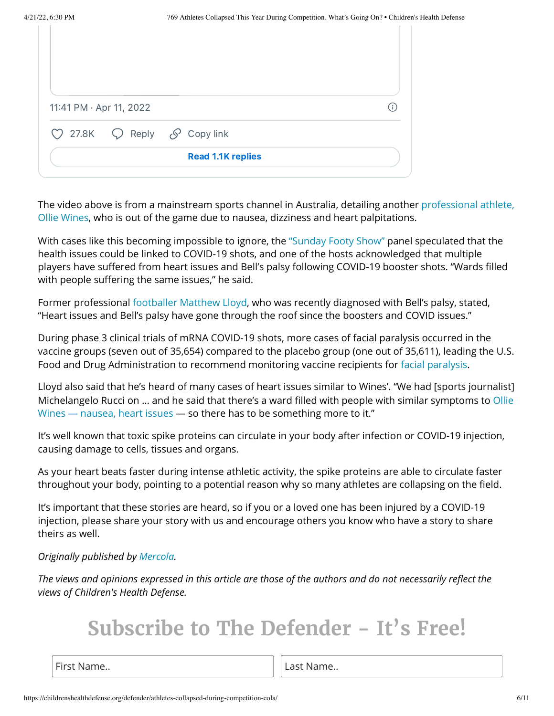| 11:41 PM · Apr 11, 2022 |                                                              |  |
|-------------------------|--------------------------------------------------------------|--|
|                         | $\heartsuit$ 27.8K $\heartsuit$ Reply $\mathcal S$ Copy link |  |
|                         |                                                              |  |

The video above is from a [mainstream sports](https://twitter.com/Lukewearechange/status/1513542808531046409) channel in Australia, detailing another professional athlete, Ollie Wines, who is out of the game due to nausea, dizziness and heart palpitations.

With cases like this becoming impossible to ignore, the ["Sunday](https://www.dailymail.co.uk/sport/afl/article-10704947/Footy-hosts-claim-Port-Adelaide-star-Ollie-Wines-heart-issues-linked-Covid-vaccines.html) Footy Show" panel speculated that the health issues could be linked to COVID-19 shots, and one of the hosts acknowledged that multiple players have suffered from heart issues and Bell's palsy following COVID-19 booster shots. "Wards filled with people suffering the same issues," he said.

Former professional [footballer](https://www.dailymail.co.uk/sport/afl/article-10704947/Footy-hosts-claim-Port-Adelaide-star-Ollie-Wines-heart-issues-linked-Covid-vaccines.html) Matthew Lloyd, who was recently diagnosed with Bell's palsy, stated, "Heart issues and Bell's palsy have gone through the roof since the boosters and COVID issues."

During phase 3 clinical trials of mRNA COVID-19 shots, more cases of facial paralysis occurred in the vaccine groups (seven out of 35,654) compared to the placebo group (one out of 35,611), leading the U.S. Food and Drug Administration to recommend monitoring vaccine recipients for facial [paralysis.](https://jamanetwork.com/journals/jamainternalmedicine/fullarticle/2779389)

Lloyd also said that he's heard of many cases of heart issues similar to Wines'. "We had [sports journalist] Michelangelo Rucci on … and he said that there's a [ward filled with](https://www.dailymail.co.uk/sport/afl/article-10704947/Footy-hosts-claim-Port-Adelaide-star-Ollie-Wines-heart-issues-linked-Covid-vaccines.html) people with similar symptoms to Ollie Wines — nausea, heart issues — so there has to be something more to it."

It's well known that toxic spike proteins can circulate in your body after infection or COVID-19 injection, causing damage to cells, tissues and organs.

As your heart beats faster during intense athletic activity, the spike proteins are able to circulate faster throughout your body, pointing to a potential reason why so many athletes are collapsing on the field.

It's important that these stories are heard, so if you or a loved one has been injured by a COVID-19 injection, please share your story with us and encourage others you know who have a story to share theirs as well.

#### *Originally published by [Mercola](https://www.mercola.com/).*

*The views and opinions expressed in this article are those of the authors and do not necessarily reflect the views of Children's Health Defense.*

# **Subscribe to The Defender - It's Free!**

First Name... **Last Name... Last Name...**